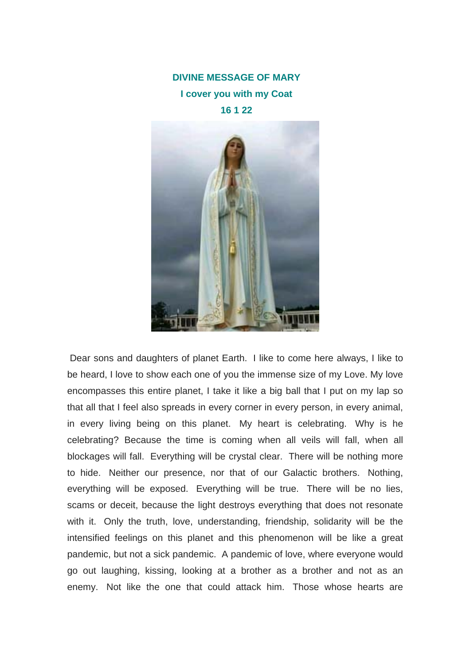## **DIVINE MESSAGE OF MARY I cover you with my Coat 16 1 22**



 Dear sons and daughters of planet Earth. I like to come here always, I like to be heard, I love to show each one of you the immense size of my Love. My love encompasses this entire planet, I take it like a big ball that I put on my lap so that all that I feel also spreads in every corner in every person, in every animal, in every living being on this planet. My heart is celebrating. Why is he celebrating? Because the time is coming when all veils will fall, when all blockages will fall. Everything will be crystal clear. There will be nothing more to hide. Neither our presence, nor that of our Galactic brothers. Nothing, everything will be exposed. Everything will be true. There will be no lies, scams or deceit, because the light destroys everything that does not resonate with it. Only the truth, love, understanding, friendship, solidarity will be the intensified feelings on this planet and this phenomenon will be like a great pandemic, but not a sick pandemic. A pandemic of love, where everyone would go out laughing, kissing, looking at a brother as a brother and not as an enemy. Not like the one that could attack him. Those whose hearts are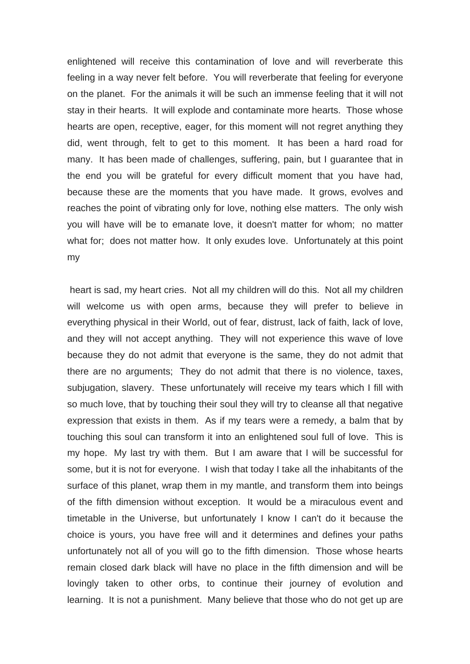enlightened will receive this contamination of love and will reverberate this feeling in a way never felt before. You will reverberate that feeling for everyone on the planet. For the animals it will be such an immense feeling that it will not stay in their hearts. It will explode and contaminate more hearts. Those whose hearts are open, receptive, eager, for this moment will not regret anything they did, went through, felt to get to this moment. It has been a hard road for many. It has been made of challenges, suffering, pain, but I guarantee that in the end you will be grateful for every difficult moment that you have had, because these are the moments that you have made. It grows, evolves and reaches the point of vibrating only for love, nothing else matters. The only wish you will have will be to emanate love, it doesn't matter for whom; no matter what for; does not matter how. It only exudes love. Unfortunately at this point my

 heart is sad, my heart cries. Not all my children will do this. Not all my children will welcome us with open arms, because they will prefer to believe in everything physical in their World, out of fear, distrust, lack of faith, lack of love, and they will not accept anything. They will not experience this wave of love because they do not admit that everyone is the same, they do not admit that there are no arguments; They do not admit that there is no violence, taxes, subjugation, slavery. These unfortunately will receive my tears which I fill with so much love, that by touching their soul they will try to cleanse all that negative expression that exists in them. As if my tears were a remedy, a balm that by touching this soul can transform it into an enlightened soul full of love. This is my hope. My last try with them. But I am aware that I will be successful for some, but it is not for everyone. I wish that today I take all the inhabitants of the surface of this planet, wrap them in my mantle, and transform them into beings of the fifth dimension without exception. It would be a miraculous event and timetable in the Universe, but unfortunately I know I can't do it because the choice is yours, you have free will and it determines and defines your paths unfortunately not all of you will go to the fifth dimension. Those whose hearts remain closed dark black will have no place in the fifth dimension and will be lovingly taken to other orbs, to continue their journey of evolution and learning. It is not a punishment. Many believe that those who do not get up are